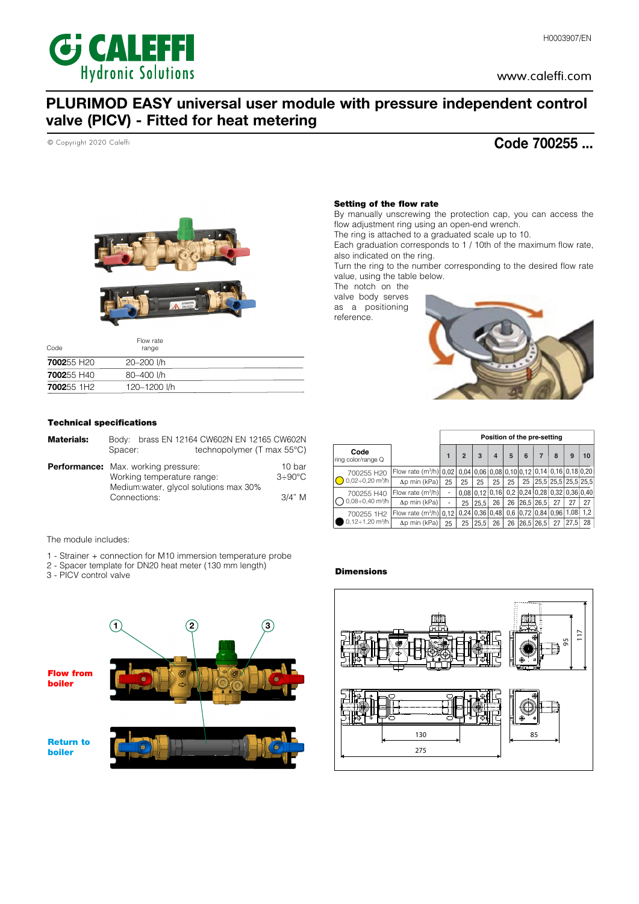

# PLURIMOD EASY universal user module with pressure independent control valve (PICV) - Fitted for heat metering

© Copyright 2020 Caleffi

## Code 700255 ...



| Code                   | Flow rate<br>range |  |
|------------------------|--------------------|--|
| <b>700255 H20</b>      | 20-200 l/h         |  |
| <b>700255 H40</b>      | 80-400 l/h         |  |
| 700255 1H <sub>2</sub> | 120-1200 l/h       |  |

## Technical specifications

| <b>Materials:</b> | Bodv:<br>Spacer:                                                                                                    | brass EN 12164 CW602N EN 12165 CW602N<br>technopolymer (T max $55^{\circ}$ C) |                                 |
|-------------------|---------------------------------------------------------------------------------------------------------------------|-------------------------------------------------------------------------------|---------------------------------|
|                   | <b>Performance:</b> Max. working pressure:<br>Working temperature range:<br>Medium: water, glycol solutions max 30% |                                                                               | 10 bar<br>$3 \div 90^{\circ}$ C |
|                   | Connections:                                                                                                        |                                                                               | 3/4" M                          |

The module includes:

- 1 Strainer + connection for M10 immersion temperature probe
- 2 Spacer template for DN20 heat meter (130 mm length)
- 3 PICV control valve



#### Setting of the flow rate

By manually unscrewing the protection cap, you can access the flow adjustment ring using an open-end wrench.

The ring is attached to a graduated scale up to 10.

Each graduation corresponds to 1 / 10th of the maximum flow rate, also indicated on the ring.

Turn the ring to the number corresponding to the desired flow rate value, using the table below.

The notch on the valve body serves as a positioning reference.



|                                                  |                                                                       |    |                |                                                                                            |                |    |   | Position of the pre-setting |                                   |      |     |
|--------------------------------------------------|-----------------------------------------------------------------------|----|----------------|--------------------------------------------------------------------------------------------|----------------|----|---|-----------------------------|-----------------------------------|------|-----|
| Code<br>ring color/range Q                       |                                                                       |    | $\overline{2}$ | 3                                                                                          | $\overline{a}$ | 5  | 6 | 7                           | 8                                 | 9    | 10  |
| 700255 H20<br>$0.02 \div 0.20$ m <sup>3</sup> /h | Flow rate $(m^3/h)$ 0.02 0.04 0.06 0.08 0.10 0.12 0.14 0.16 0.18 0.20 |    |                |                                                                                            |                |    |   |                             |                                   |      |     |
|                                                  | $\Delta p$ min (kPa)                                                  | 25 | 25             | 25                                                                                         | 25             | 25 |   |                             | 25   25,5   25,5   25,5   25,5    |      |     |
| 700255 H40<br>$0.08 \div 0.40$ m <sup>3</sup> /h | Flow rate $(m^3/h)$                                                   | ۰  |                | $0.08 \mid 0.12 \mid 0.16 \mid 0.2 \mid 0.24 \mid 0.28 \mid 0.32 \mid 0.36 \mid 0.40 \mid$ |                |    |   |                             |                                   |      |     |
|                                                  | $\Delta p$ min (kPa)                                                  | ۰  | 25             | 25.5                                                                                       | 26             | 26 |   | 26.5 26.5                   | 27                                | 27   | 27  |
| 700255 1H2<br>$0,12 \div 1,20$ m <sup>3</sup> /h | Flow rate $(m^3/h)$ 0.12                                              |    |                | $0.24 \mid 0.36 \mid 0.48 \mid$                                                            |                |    |   |                             | $0,6$   0,72   0,84   0,96   1,08 |      | 1,2 |
|                                                  | $\Delta p$ min (kPa)                                                  | 25 | 25             | 25.5                                                                                       | 26             | 26 |   | 26,5 26,5                   | 27                                | 27.5 | 28  |

#### **Dimensions**